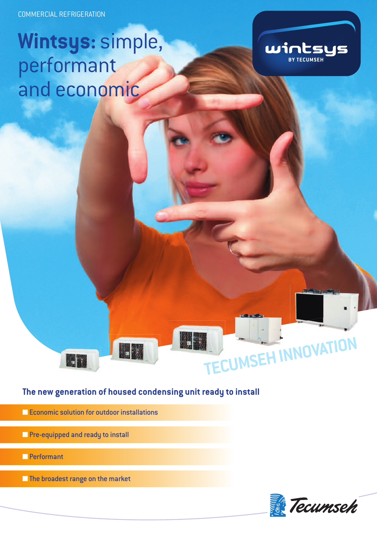COMMERCIAL REFRIGERATION

## **Wintsys:** simple, performant and economic



### **The new generation of housed condensing unit ready to install**

- Economic solution for outdoor installations
- **■** Pre-equipped and ready to install

**ILLES** 

- **■** Performant
- **■** The broadest range on the market



TECUMSEH INNOVATION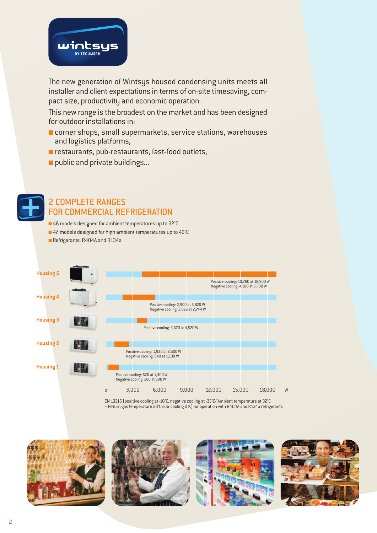

The new generation of Wintsys housed condensing units meets all installer and client expectations in terms of on-site timesaving, compact size, productivity and economic operation.

This new range is the broadest on the market and has been designed for outdoor installations in:

- corner shops, small supermarkets, service stations, warehouses and logistics platforms,
- **■** restaurants, pub-restaurants, fast-food outlets,
- public and private buildings...



### 2 COMPLETE RANGES FOR COMMERCIAL REFRIGERATION

- **■** 46 models designed for ambient temperatures up to 32°C
- 47 models designed for high ambient temperatures up to 43°C
- **■** Refrigerants: R404A and R134a



EN 13215 (positive cooling at -10°C, negative cooling at -35°C/ Ambient temperature at 32°C – Return gas temperature 20°C sub-cooling 0 K) for operation with R404A and R134a refrigerants







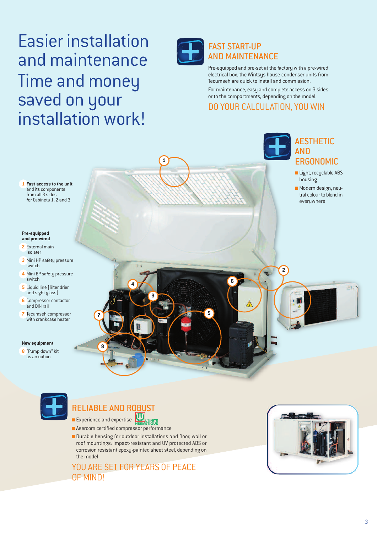### Easier installation and maintenance Time and money saved on your installation work!



**1**

### FAST START-UP AND MAINTENANCE

**6**

**5**

Pre-equipped and pre-set at the factory with a pre-wired electrical box, the Wintsys house condenser units from Tecumseh are quick to install and commission.

For maintenance, easy and complete access on 3 sides or to the compartments, depending on the model.

### DO YOUR CALCULATION, YOU WIN

### **1 Fast access to the unit** and its components from all 3 sides for Cabinets 1, 2 and 3

#### **Pre-equipped and pre-wired**

- **2** External main isolater
- **3** Mini HP safety pressure switch
- **4** Mini BP safety pressure switch
- **5** Liquid line (filter drier and sight glass)
- **<sup>6</sup>** Compressor contactor and DIN rail
- **7** Tecumseh compressor with crankcase heater

### **New equipment**

**8** "Pump down" kit as an option



**2**

**■** Modern design, neutral colour to blend in everywhere

ŕī.

AESTHETIC



### RELIABLE AND ROBUST

**8**

**7**

**■** Experience and expertise **L'UNITE**<br>ETIOLIE

- Asercom certified compressor performance
- Durable hensing for outdoor installations and floor, wall or roof mountings: Impact-resistant and UV protected ABS or corrosion resistant epoxy-painted sheet steel, depending on the model

YOU ARE SET FOR YEARS OF PEACE OF MIND!

**4**

**3**

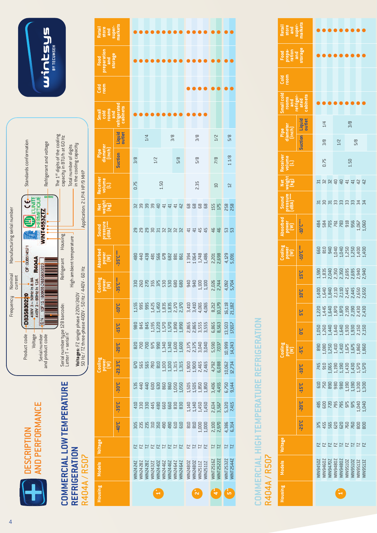

## COMMERCIAL LOW TEMPERATURE **COMMERCIAL LOW TEMPERATURE REFRIGERATION REFRIGERATION** R404A/R507 R404A / R507



wicwseys

| Retail<br>store<br>and<br>super-<br>narkets        |                         |                |                        |               |                                  |        |     |     |                                                                                                                                                                                                                                                                                                                                                                                       |                                                                               |                    |                                              |                                                                                  |                               |                        |                |
|----------------------------------------------------|-------------------------|----------------|------------------------|---------------|----------------------------------|--------|-----|-----|---------------------------------------------------------------------------------------------------------------------------------------------------------------------------------------------------------------------------------------------------------------------------------------------------------------------------------------------------------------------------------------|-------------------------------------------------------------------------------|--------------------|----------------------------------------------|----------------------------------------------------------------------------------|-------------------------------|------------------------|----------------|
| Food<br>paration<br>and<br>storage                 |                         |                |                        |               |                                  |        |     |     |                                                                                                                                                                                                                                                                                                                                                                                       |                                                                               |                    |                                              |                                                                                  |                               |                        |                |
| Cold<br>room                                       |                         |                |                        |               |                                  |        |     |     |                                                                                                                                                                                                                                                                                                                                                                                       |                                                                               |                    |                                              |                                                                                  |                               |                        |                |
| Small<br>Cold<br>Coms<br>and<br>abinets<br>abinets |                         |                |                        |               |                                  |        |     |     |                                                                                                                                                                                                                                                                                                                                                                                       |                                                                               |                    |                                              |                                                                                  |                               |                        |                |
|                                                    | <b>Liquid</b><br>outlet |                |                        | $\frac{1}{4}$ |                                  |        | 3/8 |     |                                                                                                                                                                                                                                                                                                                                                                                       |                                                                               | 3/8                |                                              | $1/2$                                                                            |                               |                        | 5/8            |
|                                                    | <b>Suction</b>          | 3/8            |                        |               | 1/2                              |        |     | 5/8 |                                                                                                                                                                                                                                                                                                                                                                                       |                                                                               |                    | 5/8                                          |                                                                                  | $\frac{8}{2}$                 | 11/8                   |                |
| keceivel<br>volume<br>(L)                          |                         | 0.75           |                        |               |                                  | $1.50$ |     |     |                                                                                                                                                                                                                                                                                                                                                                                       |                                                                               | 2.35               |                                              |                                                                                  | $\square$                     |                        | $\overline{2}$ |
| <b>Merican</b><br>Merical<br>Merica                |                         |                |                        |               |                                  |        |     |     |                                                                                                                                                                                                                                                                                                                                                                                       | % % % % % <del>d</del> 4 4 4 % % % % %                                        |                    |                                              | <b>ISS</b>                                                                       |                               | 258                    |                |
| Sound<br>pressure<br>[dBA] ******                  |                         |                |                        |               |                                  |        |     |     |                                                                                                                                                                                                                                                                                                                                                                                       | RRRRRRRRR ######                                                              |                    |                                              |                                                                                  |                               | 53                     |                |
| <b>ubsorbed</b><br>Power<br>-35°C <sup>+++</sup>   |                         |                |                        |               |                                  |        |     |     |                                                                                                                                                                                                                                                                                                                                                                                       |                                                                               |                    |                                              |                                                                                  |                               |                        |                |
| Cooling<br>Power                                   | 35°C***                 |                |                        |               |                                  |        |     |     |                                                                                                                                                                                                                                                                                                                                                                                       | way wa wa wa wa da da da da ya kusan<br>Banda wa wa wa wa wa kusanda wa wa wa |                    |                                              |                                                                                  |                               |                        |                |
|                                                    | $-10^{\circ}$ C         |                |                        |               |                                  |        |     |     |                                                                                                                                                                                                                                                                                                                                                                                       |                                                                               |                    |                                              | 8,212<br>10,179                                                                  |                               | $16,118$<br>$21,182$   |                |
|                                                    | $15^{\circ}$ C          |                |                        |               |                                  |        |     |     |                                                                                                                                                                                                                                                                                                                                                                                       |                                                                               |                    |                                              |                                                                                  |                               | $13,503$<br>$17,657$   |                |
|                                                    | $-20o$                  |                |                        |               |                                  |        |     |     |                                                                                                                                                                                                                                                                                                                                                                                       |                                                                               |                    |                                              |                                                                                  |                               |                        |                |
| tooling<br>power<br>[W]                            | $-23.3^{\circ}C$        |                |                        |               |                                  |        |     |     |                                                                                                                                                                                                                                                                                                                                                                                       |                                                                               |                    |                                              |                                                                                  |                               | 10,062<br>12.734       |                |
|                                                    | <b>30°C</b>             |                |                        |               |                                  |        |     |     |                                                                                                                                                                                                                                                                                                                                                                                       |                                                                               |                    |                                              |                                                                                  |                               | 6,750<br>9,144         |                |
|                                                    | $-35^{\circ}$ C         |                |                        |               |                                  |        |     |     | $\begin{array}{c} 4 \\ 4 \\ 3 \\ 6 \\ 7 \\ 8 \\ 9 \\ 1 \\ 1 \\ 1 \\ 2 \\ 3 \\ 4 \\ 4 \\ 5 \\ 6 \\ 6 \\ 7 \\ 8 \\ 9 \\ 1 \\ 1 \\ 1 \\ 2 \\ 3 \\ 4 \\ 4 \\ 5 \\ 6 \\ 6 \\ 6 \\ 6 \\ 6 \\ 7 \\ 8 \\ 9 \\ 1 \\ 9 \\ 1 \\ 9 \\ 1 \\ 9 \\ 1 \\ 9 \\ 1 \\ 9 \\ 1 \\ 9 \\ 1 \\ 9 \\ 1 \\ 9 \\ 1 \\ 9 \\ 1 \\ 9 \\ 1 \\ 9 \\ 1 \\ 9 \\ 1 \\ 9 \\ 1 \\ 9 \\ 1 \\ 9 \\ 1 \\ 9 \\ 1 \\ 9 \\ 1 \\$ | $\begin{array}{c} 1,140 \\ 1,1450 \\ 1,450 \\ 2,634 \\ 3,567 \end{array}$     |                    |                                              |                                                                                  |                               | 5,320                  |                |
|                                                    | <b>J.0+</b>             |                |                        |               |                                  |        |     |     | <b>BBBBBBBB</b>                                                                                                                                                                                                                                                                                                                                                                       |                                                                               |                    |                                              | $\begin{array}{r} 810 \\ 810 \\ 1,000 \\ 1,000 \\ 2,370 \\ 2,370 \\ \end{array}$ |                               | 4,386<br>6.314         |                |
| Voltage                                            |                         |                |                        |               |                                  |        |     |     | 22222222                                                                                                                                                                                                                                                                                                                                                                              |                                                                               |                    | <b>Z Z Z Z</b>                               |                                                                                  | $\frac{17}{2}$                |                        | $\frac{17}{2}$ |
|                                                    |                         | <b>IN24247</b> | WIN 24287<br>WIN 24287 |               | WINZ432Z<br>WINZ440Z<br>WINZ446Z |        |     |     | WIN2446Z<br>WIN2464Z<br>WIN2464Z                                                                                                                                                                                                                                                                                                                                                      |                                                                               |                    | WIN2480Z<br>WIN2480Z<br>WIN2511Z<br>WIN2511Z |                                                                                  | <b>WINT2516Z</b><br>WINT2522Z | WINT2532Z<br>WINT2544Z |                |
| Housing Models                                     |                         |                |                        |               |                                  |        |     |     |                                                                                                                                                                                                                                                                                                                                                                                       |                                                                               | $\mathbf{\dot{v}}$ |                                              |                                                                                  |                               | ြို့                   |                |

## COMMERCIAL HIGH TEMPERATURE REFRIGERATION **COMMERCIAL HIGH TEMPERATURE REFRIGERATION** R404A/R507 R404A / R507

| Retail<br>store<br>and<br>super-<br>narkets                   |                         |                                                                                                                                                                                                                                                                     |  |     |      |     |  |
|---------------------------------------------------------------|-------------------------|---------------------------------------------------------------------------------------------------------------------------------------------------------------------------------------------------------------------------------------------------------------------|--|-----|------|-----|--|
| Food<br>Piena<br>Tation<br>Storage                            |                         |                                                                                                                                                                                                                                                                     |  |     |      |     |  |
| 공동                                                            |                         |                                                                                                                                                                                                                                                                     |  |     |      |     |  |
| Small col<br>rooms<br>and<br>refriger-<br>abinets<br>cabinets |                         |                                                                                                                                                                                                                                                                     |  |     |      |     |  |
| Pipe<br>lameter<br>(inch)                                     | <b>Liquid</b><br>outlet | 1/4                                                                                                                                                                                                                                                                 |  |     | 3/8  |     |  |
|                                                               | uction                  | 3/8                                                                                                                                                                                                                                                                 |  | 1/2 |      | 5/8 |  |
| .<br>등<br>이                                                   |                         | 0.75                                                                                                                                                                                                                                                                |  |     | 1.50 |     |  |
| 호 동의<br>기준 국                                                  |                         |                                                                                                                                                                                                                                                                     |  |     |      |     |  |
| Sound<br>pressure<br>dBA) *****                               |                         | 555888835                                                                                                                                                                                                                                                           |  |     |      |     |  |
| .bsorbed<br>Power<br>[W]                                      | <b>ADCPT</b>            |                                                                                                                                                                                                                                                                     |  |     |      |     |  |
| Looling<br>Power<br>(W)                                       | <b>AD'CW</b>            |                                                                                                                                                                                                                                                                     |  |     |      |     |  |
|                                                               | <b>J.ST</b>             | $1.5900$<br>$0.83500$<br>$0.83500$<br>$0.83500$<br>$0.83500$<br>$0.8350$<br>$0.8350$<br>$0.8350$<br>$0.8350$<br>$0.8350$                                                                                                                                            |  |     |      |     |  |
|                                                               | <b>D</b> c              |                                                                                                                                                                                                                                                                     |  |     |      |     |  |
|                                                               | ដូ                      | $-220$<br>$-1$ , $-6$ , $-6$ , $-1$ , $-6$ , $-1$ , $-1$ , $-1$ , $-1$ , $-1$ , $-1$ , $-1$ , $-1$ , $-1$ , $-1$ , $-1$ , $-1$ , $-1$ , $-1$ , $-1$ , $-1$ , $-1$ , $-1$ , $-1$ , $-1$ , $-1$ , $-1$ , $-1$ , $-1$ , $-1$ , $-1$ , $-1$ , $-1$ , $-1$ , $-1$ , $-1$ |  |     |      |     |  |
|                                                               | ပ္ပ                     | 1050<br>1,260 4 4 5 4 5 6 7 5 6 7 1<br>1,4 4 5 6 7 6 7 6 7 15 0<br>1,0 6 7 7 6 7 16 0                                                                                                                                                                               |  |     |      |     |  |
| ooling<br>awer<br>(W)                                         | م.<br>م                 | 1,380<br>1,380<br>1,414,520<br>80<br>800<br>800                                                                                                                                                                                                                     |  |     |      |     |  |
|                                                               | $-10^{\circ}$ C         | 1520<br>1985 1980<br>1985 1980 1980<br>1988 1980 1980                                                                                                                                                                                                               |  |     |      |     |  |
|                                                               | $-15^{\circ}$ C         |                                                                                                                                                                                                                                                                     |  |     |      |     |  |
|                                                               | <b>3.02</b>             |                                                                                                                                                                                                                                                                     |  |     |      |     |  |
|                                                               | <b>25°C</b>             | <b>25568866888</b>                                                                                                                                                                                                                                                  |  |     |      |     |  |
|                                                               |                         | Z Z Z Z Z Z Z Z Z                                                                                                                                                                                                                                                   |  |     |      |     |  |
| <b>lodels</b>                                                 |                         | SESS<br>NIMB4502<br>NIMB4702<br>NIMB4702<br>NIMB5102<br>NIMB5102<br>NIMB51322                                                                                                                                                                                       |  |     |      |     |  |
|                                                               |                         |                                                                                                                                                                                                                                                                     |  |     |      |     |  |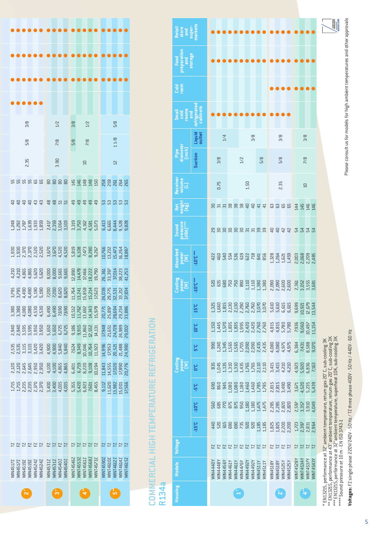|      |  | 3/8 |  |                                                                                                                                                                                                                                      |  | 1/2 |                                                        |                                                        | 3/8            |                 | 1/2             |                 |                 |                  | 5/8            |                |                |          |
|------|--|-----|--|--------------------------------------------------------------------------------------------------------------------------------------------------------------------------------------------------------------------------------------|--|-----|--------------------------------------------------------|--------------------------------------------------------|----------------|-----------------|-----------------|-----------------|-----------------|------------------|----------------|----------------|----------------|----------|
|      |  | 5/8 |  |                                                                                                                                                                                                                                      |  | 7/8 |                                                        |                                                        | 5/8            |                 | $\frac{8}{2}$   |                 |                 |                  | 1/8            |                |                |          |
| 2.35 |  |     |  | 3.90                                                                                                                                                                                                                                 |  |     |                                                        |                                                        |                | $\Xi$           |                 |                 |                 | $\overline{2}$   |                |                |                |          |
|      |  |     |  | ទេ មាន មាន ទី ទី ទី ទី ទី ទី ដូ ដូ ដូ ដូ ដូ ដូ នី មី ដូ នី មី ដូ នី មី ដូ                                                                                                                                                            |  |     |                                                        |                                                        |                |                 |                 |                 |                 |                  |                |                |                |          |
|      |  |     |  | <del>មុខមុខបុន ទីត្តដូ</del> ង ទីទីទីទី ស្ថិត ដូច្ន                                                                                                                                                                                  |  |     |                                                        |                                                        |                |                 |                 |                 |                 |                  |                |                |                |          |
|      |  |     |  |                                                                                                                                                                                                                                      |  |     |                                                        |                                                        |                |                 |                 |                 |                 |                  |                |                |                |          |
|      |  |     |  |                                                                                                                                                                                                                                      |  |     |                                                        |                                                        |                |                 |                 |                 |                 |                  |                |                |                |          |
|      |  |     |  |                                                                                                                                                                                                                                      |  |     |                                                        |                                                        |                |                 |                 |                 |                 |                  |                |                |                |          |
|      |  |     |  |                                                                                                                                                                                                                                      |  |     |                                                        |                                                        |                |                 |                 |                 |                 |                  |                |                |                |          |
|      |  |     |  |                                                                                                                                                                                                                                      |  |     |                                                        |                                                        |                |                 |                 |                 |                 |                  |                |                |                |          |
|      |  |     |  |                                                                                                                                                                                                                                      |  |     |                                                        |                                                        |                |                 |                 |                 |                 |                  |                |                |                |          |
|      |  |     |  |                                                                                                                                                                                                                                      |  |     |                                                        |                                                        |                |                 |                 |                 |                 |                  |                |                |                |          |
|      |  |     |  | a da a senso de esta da sensa a sensa en el sensa de la construcción de la construcción de la construcción de<br>1990 de esta de la construcción de la construcción de la construcción de la construcción de la construcción d<br>20 |  |     |                                                        |                                                        |                |                 |                 |                 |                 |                  |                |                |                |          |
|      |  |     |  |                                                                                                                                                                                                                                      |  |     |                                                        |                                                        |                |                 |                 |                 |                 |                  |                |                |                |          |
|      |  |     |  |                                                                                                                                                                                                                                      |  |     |                                                        |                                                        |                |                 |                 |                 |                 |                  |                |                |                |          |
|      |  |     |  |                                                                                                                                                                                                                                      |  |     |                                                        |                                                        |                |                 |                 |                 |                 |                  |                |                |                |          |
|      |  |     |  | ENNEN                                                                                                                                                                                                                                |  |     | $\begin{array}{c}\n 7 \\  7 \\  7 \\  8\n \end{array}$ |                                                        | $\overline{E}$ |                 |                 |                 |                 |                  |                |                |                |          |
|      |  |     |  | VIN45172<br>VIN45172<br>VIN45192<br>VIN45242<br>VIN45242<br>VIN45242                                                                                                                                                                 |  |     |                                                        | <b>VIN4531Z<br/>VIN4531Z<br/>VIN4540Z<br/>VIN4540Z</b> | VINT45467      | <b>INT45532</b> | <b>INT45617</b> | <b>INT45687</b> | <b>INT45737</b> | <b>VINT45907</b> | <b>INT4610</b> | <b>INT4612</b> | <b>INT4614</b> | VINT4615 |
|      |  |     |  |                                                                                                                                                                                                                                      |  |     |                                                        |                                                        |                |                 |                 |                 |                 |                  |                |                |                |          |

# COMMERCIAL HIGH TEMPERATURE REFRIGERATION **COMMERCIAL HIGH TEMPERATURE REFRIGERATION**

R134a

| <b>Models</b>                                                                                                                                                                                                                                                  | <b>Voltage</b> |                                  |                 |                                  | Cooling<br>Power<br>(W)                                                     |                                                                                                            |                                                                                                                                                                                                                                                                           |                                                                                                                                                                                                                                                                           | Cooling<br>Power<br>(W)                                                                                                                                                                                                      | Absorbed<br>Power<br>[W] | Sound<br>pressure<br>(dBA) **** | )<br>보통의<br>또한                 | Receiver<br>volume<br>(L) | diameter<br>diameter |                         | Small<br>cold<br>rooms<br>nigerate<br>abinets | Cold<br>room | Food<br>reparation<br>and<br>storage | Retail<br>store<br>super-<br>markets                                                             |
|----------------------------------------------------------------------------------------------------------------------------------------------------------------------------------------------------------------------------------------------------------------|----------------|----------------------------------|-----------------|----------------------------------|-----------------------------------------------------------------------------|------------------------------------------------------------------------------------------------------------|---------------------------------------------------------------------------------------------------------------------------------------------------------------------------------------------------------------------------------------------------------------------------|---------------------------------------------------------------------------------------------------------------------------------------------------------------------------------------------------------------------------------------------------------------------------|------------------------------------------------------------------------------------------------------------------------------------------------------------------------------------------------------------------------------|--------------------------|---------------------------------|--------------------------------|---------------------------|----------------------|-------------------------|-----------------------------------------------|--------------|--------------------------------------|--------------------------------------------------------------------------------------------------|
|                                                                                                                                                                                                                                                                |                | $-15^{\circ}C$                   | $-10^{\circ}$ C | ပိုင                             | ္င                                                                          | ပိုး                                                                                                       | 10 <sup>°</sup>                                                                                                                                                                                                                                                           | 15°C                                                                                                                                                                                                                                                                      | 10°C***                                                                                                                                                                                                                      | -10°C***                 |                                 |                                |                           | <b>Suction</b>       | <b>Liquid</b><br>outlet |                                               |              |                                      |                                                                                                  |
|                                                                                                                                                                                                                                                                |                | 140                              | <b>560</b>      | <b>G</b> 90                      | 835                                                                         | 990                                                                                                        | 1.15C                                                                                                                                                                                                                                                                     | 325.                                                                                                                                                                                                                                                                      |                                                                                                                                                                                                                              |                          |                                 |                                |                           |                      |                         |                                               |              |                                      |                                                                                                  |
| EZ                                                                                                                                                                                                                                                             |                | 520                              | 685             | 860                              | 1,045                                                                       |                                                                                                            | 1,445                                                                                                                                                                                                                                                                     | 1,660                                                                                                                                                                                                                                                                     |                                                                                                                                                                                                                              |                          |                                 |                                | 0.75                      | 3/8                  |                         |                                               |              |                                      |                                                                                                  |
| EZ                                                                                                                                                                                                                                                             |                | <b>G15</b>                       | 270             | 945                              | 1,135                                                                       |                                                                                                            | 1,570                                                                                                                                                                                                                                                                     |                                                                                                                                                                                                                                                                           |                                                                                                                                                                                                                              |                          |                                 |                                |                           |                      | $1/4$                   |                                               |              |                                      |                                                                                                  |
| EZ                                                                                                                                                                                                                                                             |                | <b>G90</b>                       | 875             | 1,080                            | 1,310                                                                       |                                                                                                            | 1,835                                                                                                                                                                                                                                                                     |                                                                                                                                                                                                                                                                           |                                                                                                                                                                                                                              |                          |                                 |                                |                           |                      |                         |                                               |              |                                      |                                                                                                  |
| $\frac{1}{2}$                                                                                                                                                                                                                                                  |                |                                  | 875             | 1,08C                            |                                                                             |                                                                                                            |                                                                                                                                                                                                                                                                           |                                                                                                                                                                                                                                                                           |                                                                                                                                                                                                                              |                          |                                 |                                |                           |                      |                         |                                               |              |                                      |                                                                                                  |
|                                                                                                                                                                                                                                                                |                | 690<br>735                       | 950             | 1,180                            | $\begin{array}{c} 1,310 \\ 1,435 \\ 1,765 \\ 2,110 \\ 2,110 \\ \end{array}$ |                                                                                                            |                                                                                                                                                                                                                                                                           | $\begin{array}{cccccc} 1.815 & 0.000 & 0.000 & 0.000 & 0.000 & 0.000 & 0.000 & 0.000 & 0.000 & 0.000 & 0.000 & 0.000 & 0.000 & 0.000 & 0.000 & 0.000 & 0.000 & 0.000 & 0.000 & 0.000 & 0.000 & 0.000 & 0.000 & 0.000 & 0.000 & 0.000 & 0.000 & 0.000 & 0.000 & 0.000 & 0$ |                                                                                                                                                                                                                              |                          |                                 |                                |                           | $1/2$                |                         |                                               |              |                                      |                                                                                                  |
| F <sub>7</sub>                                                                                                                                                                                                                                                 |                | 920                              | 1,180           |                                  |                                                                             |                                                                                                            |                                                                                                                                                                                                                                                                           |                                                                                                                                                                                                                                                                           |                                                                                                                                                                                                                              |                          |                                 |                                | 1.50                      |                      |                         |                                               |              |                                      |                                                                                                  |
| $\overline{L}$                                                                                                                                                                                                                                                 |                | 920                              | 1,180           |                                  |                                                                             |                                                                                                            |                                                                                                                                                                                                                                                                           |                                                                                                                                                                                                                                                                           |                                                                                                                                                                                                                              |                          |                                 |                                |                           |                      | 3/8                     |                                               |              |                                      |                                                                                                  |
| EZ <sub>N</sub>                                                                                                                                                                                                                                                |                |                                  |                 | 1,460<br>1,460<br>1,785<br>1,785 |                                                                             |                                                                                                            |                                                                                                                                                                                                                                                                           |                                                                                                                                                                                                                                                                           |                                                                                                                                                                                                                              |                          |                                 |                                |                           |                      |                         |                                               |              |                                      |                                                                                                  |
|                                                                                                                                                                                                                                                                |                | 1,185<br>1,185                   | 1,475<br>1,475  |                                  |                                                                             | $1,345$<br>$1,356$<br>$1,356$<br>$1,709$<br>$1,709$<br>$1,745$<br>$1,700$<br>$1,745$<br>$1,700$<br>$1,745$ | $\begin{array}{cccc}\n 1.835 & 0.000 & 0.000 & 0.000 & 0.000 & 0.000 & 0.000 & 0.000 & 0.000 & 0.000 & 0.000 & 0.000 & 0.000 & 0.000 & 0.000 & 0.000 & 0.000 & 0.000 & 0.000 & 0.000 & 0.000 & 0.000 & 0.000 & 0.000 & 0.000 & 0.000 & 0.000 & 0.000 & 0.000 & 0.000 & 0$ |                                                                                                                                                                                                                                                                           |                                                                                                                                                                                                                              |                          |                                 |                                |                           | 5/8                  |                         |                                               |              |                                      |                                                                                                  |
| EZ                                                                                                                                                                                                                                                             |                |                                  | 2,285           |                                  |                                                                             |                                                                                                            |                                                                                                                                                                                                                                                                           | 5,61C                                                                                                                                                                                                                                                                     | $58.68$ $58.68$ $58.68$ $58.68$ $58.713$ $58.713$ $58.713$ $58.713$ $58.713$ $58.713$ $58.713$ $58.713$ $58.713$ $58.713$ $58.713$ $58.713$ $58.713$ $58.713$ $58.713$ $58.713$ $58.713$ $58.713$ $58.713$ $58.713$ $58.713$ |                          | <b>22333333334444555</b>        | Bunggage and general companies |                           |                      |                         |                                               |              |                                      |                                                                                                  |
| $\overline{L}$                                                                                                                                                                                                                                                 |                |                                  | 2,285           |                                  |                                                                             |                                                                                                            |                                                                                                                                                                                                                                                                           |                                                                                                                                                                                                                                                                           |                                                                                                                                                                                                                              |                          |                                 |                                | 2.35                      |                      |                         |                                               |              |                                      |                                                                                                  |
| EZ                                                                                                                                                                                                                                                             |                | 1,825<br>1,820<br>2,200<br>2,200 | 2,820           | 2.819<br>2.819<br>2.919<br>2.92  | a 44<br>44<br>44<br>44<br>44                                                | $4,080$<br>$4,080$<br>$5,080$<br>$6,975$<br>$5,080$                                                        | 44 P. V. V.<br>1980<br>1980<br>1980                                                                                                                                                                                                                                       | 5.615<br>6.615                                                                                                                                                                                                                                                            |                                                                                                                                                                                                                              |                          |                                 |                                |                           | 5/8                  | 3/8                     |                                               |              |                                      |                                                                                                  |
| $\overline{L}$                                                                                                                                                                                                                                                 |                |                                  | 2,820           |                                  |                                                                             |                                                                                                            |                                                                                                                                                                                                                                                                           |                                                                                                                                                                                                                                                                           |                                                                                                                                                                                                                              |                          |                                 |                                |                           |                      |                         |                                               |              |                                      |                                                                                                  |
| 17<br>WINT4528Y                                                                                                                                                                                                                                                |                | 1,723                            | 2,597           | 3,671                            | 4,923                                                                       | 6,384                                                                                                      | 7,936                                                                                                                                                                                                                                                                     | 9,699                                                                                                                                                                                                                                                                     |                                                                                                                                                                                                                              |                          |                                 |                                |                           |                      |                         |                                               |              |                                      |                                                                                                  |
| 17<br>WINT4534Y                                                                                                                                                                                                                                                |                | 2,397                            | 3,357           | 4,520                            | 5,920                                                                       | 7,431                                                                                                      | 9,060                                                                                                                                                                                                                                                                     | 10,921                                                                                                                                                                                                                                                                    |                                                                                                                                                                                                                              |                          |                                 |                                | $\Box$                    | 7/8                  | 3/8                     |                                               |              |                                      |                                                                                                  |
| 17<br>WINT4537Y                                                                                                                                                                                                                                                |                | 2,831                            | 3,910           | 5,235                            | 6,836                                                                       | 8,588                                                                                                      | 10,497                                                                                                                                                                                                                                                                    | 12,679                                                                                                                                                                                                                                                                    |                                                                                                                                                                                                                              |                          |                                 |                                |                           |                      |                         |                                               |              |                                      |                                                                                                  |
| 17<br>WINT4543Y                                                                                                                                                                                                                                                |                | 2,964                            | 4,049           | 5,439                            | 7,163                                                                       | 9,070                                                                                                      | 11,154                                                                                                                                                                                                                                                                    | 13,544                                                                                                                                                                                                                                                                    |                                                                                                                                                                                                                              |                          |                                 |                                |                           |                      |                         |                                               |              |                                      |                                                                                                  |
| ** EN13215, performance at 43° ambient temperature, retum gas 20° C, sub-cooling 3K<br>*** EN13215, performance at 32° ambient temperature, superheat 10K, sub-cooling 3K<br>EN 13215, performance at 32° ambient temperature, retum gas 20° C, sub-cooling 3K |                |                                  |                 |                                  |                                                                             |                                                                                                            |                                                                                                                                                                                                                                                                           |                                                                                                                                                                                                                                                                           |                                                                                                                                                                                                                              |                          |                                 |                                |                           |                      |                         |                                               |              |                                      | $\begin{array}{c}\n\hline\n\text{terms} \\ \hline\n\text{seaves} \\ \text{ASERCOM}\n\end{array}$ |

\*\* EN13215, performance at 43° ambient temperature, return gas 20° C, sub-cooling 3K<br>\*\*\* EN13215, performance at 32° ambient temperature, superheat 10K, sub-cooling 3K<br>\*\*\*\* Sound pressure at 10 m - EN ISO 3743-1 \*\* EN13215, performance at 43° ambient temperature, return gas 20° C, sub-cooling 3K \*\*\* EN13215, performance at 32° ambient temperature, superheat 10K, sub-cooling 3K \*\*\*\* Sound pressure at 10 m - EN ISO 3743-1

Voltages: FZ single phase 220W240V - 50 Hz / TZ three phase 400V - 50 Hz / 440V - 60 Hz **Voltages:** FZ single phase 220V/240V - 50 Hz / TZ three phase 400V - 50 Hz / 440V - 60 Hz

Please consult us for models for high ambient temperatures and other approvals Please consult us for models for high ambient temperatures and other approvals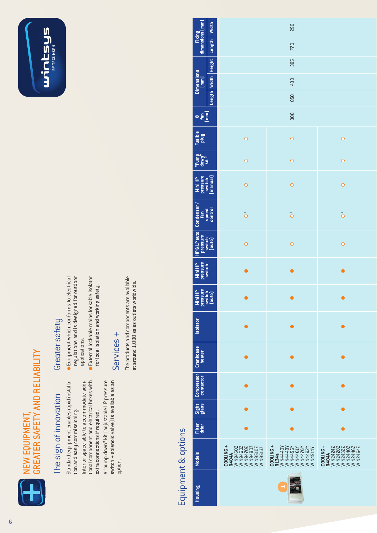

## **GREATER SAFETY AND RELIABILITY** GREATER SAFETY AND RELIABILITY

## The sign of innovation The sign of innovation

Standard equipment enables rapid installa-Standard equipment enables rapid installation and easy commissioning. tion and easy commissioning. Interior space able to accommodate additional component and electrical boxes with A "pump down" kit (adjustable LP pressure Interior space able to accommodate additional component and electrical boxes with A "pump down" kit (adjustable LP pressure extra connections if required. extra connections if required.

switch + solenoid valve is available as an switch + solenoid valve) is available as an option.

## Greater safety Greater safety

- **•** Equipment which conforms to electrical regulations and is designed for outdoor regulations and is designed for outdoor Equipment which conforms to electrical applications. applications.
- **•** External lockable mains lockable isolator External lockable mains lockable isolator for local isolation and working safety. for local isolation and working safety.

## Services + Services +

The products and components are available The products and components are available at around 1,000 sales outlets worldwide. at around 1,000 sales outlets worldwide.

## Equipment & options Equipment & options

|                                                   | Width                            |                                                                                                                 | 290                                                                                                             |                                                                                                  |
|---------------------------------------------------|----------------------------------|-----------------------------------------------------------------------------------------------------------------|-----------------------------------------------------------------------------------------------------------------|--------------------------------------------------------------------------------------------------|
| Fixing<br>dimensions (mm)                         |                                  |                                                                                                                 | 770                                                                                                             |                                                                                                  |
|                                                   | Length   Width   Height   Length |                                                                                                                 | 385                                                                                                             |                                                                                                  |
| Dimensions<br>[mm]                                |                                  |                                                                                                                 | 430                                                                                                             |                                                                                                  |
|                                                   |                                  |                                                                                                                 | 850                                                                                                             |                                                                                                  |
| $\frac{1}{2}$                                     |                                  |                                                                                                                 | 300                                                                                                             |                                                                                                  |
| Fusible<br>plug                                   |                                  | $\circ$                                                                                                         | $\circ$                                                                                                         | $\circ$                                                                                          |
| "Pump"<br>down"<br>kit <sup>3</sup>               |                                  | $\circ$                                                                                                         | $\circ$                                                                                                         | $\circ$                                                                                          |
| Mini HP<br>pressure<br>switch<br>(manual)         |                                  | $\circ$                                                                                                         | $\circ$                                                                                                         | $\circ$                                                                                          |
| Condenser /<br>  fan<br>  speed<br>  control      |                                  | $\vec{O}$                                                                                                       | $\bigcirc$                                                                                                      | $\bigcirc$                                                                                       |
| HP & LP auto<br>  pressure<br>  switch<br>  auto] |                                  | $\circ$                                                                                                         | $\circ$                                                                                                         | $\circ$                                                                                          |
| Mini HP<br>pressure<br>switch                     |                                  | $\bullet$                                                                                                       | $\bullet$                                                                                                       | $\bullet$                                                                                        |
| Mini HP<br>pressure<br>switch<br>(auto)           |                                  |                                                                                                                 |                                                                                                                 |                                                                                                  |
| <b>Isolator</b>                                   |                                  |                                                                                                                 |                                                                                                                 |                                                                                                  |
| Crankcase<br>heater                               |                                  |                                                                                                                 |                                                                                                                 |                                                                                                  |
| Compressor                                        |                                  |                                                                                                                 |                                                                                                                 |                                                                                                  |
| Sight                                             |                                  |                                                                                                                 |                                                                                                                 |                                                                                                  |
| Filter<br>drier                                   |                                  | Ō                                                                                                               |                                                                                                                 |                                                                                                  |
| <b>Models</b>                                     |                                  | COOLING +<br><b>R404A</b><br>WIN9450Z<br>WIN9460Z<br>WIN9470Z<br>WIN9480Z<br><b>WIN9510Z</b><br><b>NIN9513Z</b> | COOLING+<br>WIN4440Y<br>ATTSFMIM<br>ASPERNIM<br>ASPERNIM<br>ASPERNIM<br>ASPERNIM<br>ASPFRIM<br>ASPFRIM<br>R134a | WINZ428Z<br>WINZ432Z<br>WINZ440Z<br>WINZ446Z<br>WINZ464Z<br><b>R404A</b><br>WIN2424Z<br>COOLING- |
| <b>Housing</b>                                    |                                  |                                                                                                                 |                                                                                                                 |                                                                                                  |



winwseys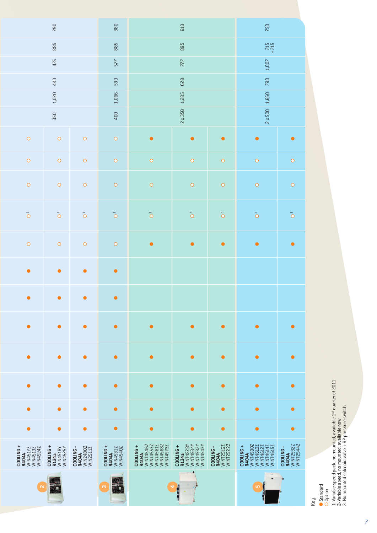|                                                                 | 290                                        |                                                  | 380                                                       |                                                                                     | 610                                                                                 |                                                     | 750                                                                                             |                                                     |  |
|-----------------------------------------------------------------|--------------------------------------------|--------------------------------------------------|-----------------------------------------------------------|-------------------------------------------------------------------------------------|-------------------------------------------------------------------------------------|-----------------------------------------------------|-------------------------------------------------------------------------------------------------|-----------------------------------------------------|--|
|                                                                 | 885                                        |                                                  | 885                                                       |                                                                                     | 895                                                                                 |                                                     | $715 + 715$                                                                                     |                                                     |  |
|                                                                 | 475                                        |                                                  | 577                                                       |                                                                                     | 777                                                                                 |                                                     | 1,007                                                                                           |                                                     |  |
|                                                                 | 440                                        |                                                  | 530                                                       |                                                                                     | 790                                                                                 |                                                     |                                                                                                 |                                                     |  |
|                                                                 | 1,020                                      |                                                  | 1,066                                                     |                                                                                     | 1,285                                                                               |                                                     | 1,660                                                                                           |                                                     |  |
|                                                                 | 350                                        |                                                  | 400                                                       |                                                                                     | $2 \times 350$                                                                      |                                                     | $2 \times 500$                                                                                  |                                                     |  |
| $\circ$                                                         | $\circ$                                    | $\bigcirc$                                       | $\bigcirc$                                                | $\bullet$                                                                           | $\bullet$                                                                           | $\bullet$                                           | $\bullet$                                                                                       | $\bullet$                                           |  |
| $\bigcirc$                                                      | $\bigcirc$                                 | $\circ$                                          | $\bigcirc$                                                | $\bigcirc$                                                                          | $\bigcirc$                                                                          | $\circ$                                             | $\circ$                                                                                         | $\bigcirc$                                          |  |
| $\bigcirc$                                                      | $\bigcirc$                                 | $\circ$                                          | $\begin{array}{c}\n\mathbf{O} \\ \mathbf{O}\n\end{array}$ | $\bullet$                                                                           | $\circ$                                                                             | $\circ$                                             | $\circ$                                                                                         | $\bigcirc$                                          |  |
| $\vec{O}$                                                       | $\vec{O}$                                  | $\vec{O}$                                        | $\sum^{\infty}$                                           | $\sum^{\infty}$                                                                     | $\sum^{\infty}$                                                                     | $\tilde{O}$                                         | $\sum^{\infty}$                                                                                 | $\tilde{O}$                                         |  |
| $\circ$                                                         | $\circ$                                    | $\circ$                                          | $\bigcirc$                                                | $\bullet$                                                                           | $\bullet$                                                                           | $\bullet$                                           | $\bullet$                                                                                       | $\bullet$                                           |  |
| $\bullet$                                                       | $\bullet$                                  | $\bullet$                                        | $\bullet$                                                 |                                                                                     |                                                                                     |                                                     |                                                                                                 |                                                     |  |
| $\bullet$                                                       | $\bullet$                                  | $\bullet$                                        | $\bullet$                                                 |                                                                                     |                                                                                     |                                                     |                                                                                                 |                                                     |  |
| ●                                                               | $\bullet$                                  | $\bullet$                                        | $\bullet$                                                 | $\bullet$                                                                           | $\bullet$                                                                           | $\bullet$                                           | $\bullet$                                                                                       | $\bullet$                                           |  |
| ●                                                               | $\bullet$                                  | $\bullet$                                        | $\bullet$                                                 | $\bullet$                                                                           | $\bullet$                                                                           | $\bullet$                                           | $\bullet$                                                                                       | $\bullet$                                           |  |
| $\bullet$                                                       | $\bullet$                                  | $\bullet$                                        | $\bullet$                                                 | $\bullet$                                                                           | $\bullet$                                                                           | $\bullet$                                           | $\bullet$                                                                                       | $\bullet$                                           |  |
| $\bullet$                                                       | $\bullet$                                  | $\bullet$                                        | $\bullet$                                                 | $\bullet$                                                                           | $\bullet$                                                                           | $\bullet$                                           | $\bullet$                                                                                       | $\bullet$                                           |  |
| $\bullet$                                                       | $\bullet$                                  | $\bullet$                                        | $\bullet$                                                 | $\bullet$                                                                           | $\bullet$                                                                           | $\bullet$                                           | $\bullet$                                                                                       | $\bullet$                                           |  |
| $COOLING +$<br>WIN4517Z<br>WIN4519Z<br>WIN4524Z<br><b>R404A</b> | COOLING +<br>R134a<br>Win4518Y<br>Win4525Y | <b>R404A</b><br>WIN2480Z<br>WIN2511Z<br>COOLING- | COOLING+<br><b>R404A</b><br>WIN4531Z<br>WIN4540Z          | WITH 546Z<br>WNIT4553Z<br>WNIT4561Z<br>WNIT4568Z<br>WNIT4573Z<br>COOLING +<br>R404A | WINT4528Y<br>WINT4534Y<br>WINT4537Y<br>WINT4537Y<br>WINT4543Y<br>COOLING +<br>R134a | <b>R404A</b><br>WINT2516Z<br>WINT25222<br>COOLING - | <b>R404A</b><br>WINIT4590Z<br>WINIT4590Z<br>WINIT4612Z<br>WINIT4614Z<br>WINIT4615Z<br>COOLING + | <b>R404A</b><br>WINT2532Z<br>WINT2544Z<br>COOLING - |  |
| $\mathbf{\tilde{z}}$                                            |                                            |                                                  | $\infty$                                                  |                                                                                     | A<br>w.<br>J<br>4                                                                   |                                                     | $\overline{\phantom{a}}$<br>$\blacksquare$<br>LO <sub>1</sub>                                   |                                                     |  |

Key:

Standard Option

1- Variable speed pack, no mounted, available 1st quarter of 2011

2- Variable speed, no mounted, available now

3- No mounted solenoid valve + BP pressure switch